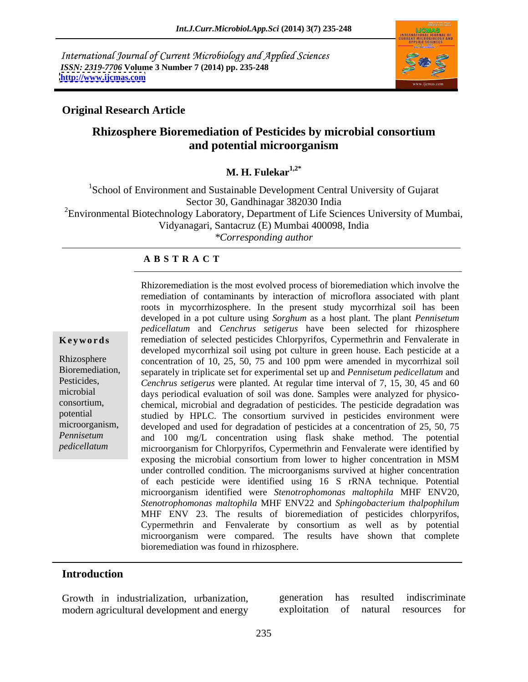International Journal of Current Microbiology and Applied Sciences *ISSN: 2319-7706* **Volume 3 Number 7 (2014) pp. 235-248 <http://www.ijcmas.com>**



# **Original Research Article**

# **Rhizosphere Bioremediation of Pesticides by microbial consortium and potential microorganism**

**M. H. Fulekar1,2\***

<sup>1</sup>School of Environment and Sustainable Development Central University of Gujarat Sector 30, Gandhinagar 382030 India <sup>2</sup>Environmental Biotechnology Laboratory, Department of Life Sciences University of Mumbai, Vidyanagari, Santacruz (E) Mumbai 400098, India *\*Corresponding author*

## **A B S T R A C T**

**Keywords** remediation of selected pesticides Chlorpyrifos, Cypermethrin and Fenvalerate in Rhizosphere concentration of 10, 25, 50, 75 and 100 ppm were amended in mycorrhizal soil Bioremediation, separately in triplicate set for experimental set up and *Pennisetum pedicellatum* and Pesticides, *Cenchrus setigerus* were planted. At regular time interval of 7, 15, 30, 45 and 60 microbial days periodical evaluation of soil was done. Samples were analyzed for physico consortium, chemical, microbial and degradation of pesticides. The pesticide degradation was potential studied by HPLC. The consortium survived in pesticides environment were microorganism, developed and used for degradation of pesticides at a concentration of 25, 50, 75 *Pennisetum*  and 100 mg/L concentration using flask shake method. The potential *pedicellatum* microorganism for Chlorpyrifos, Cypermethrin and Fenvalerate were identified by Rhizoremediation is the most evolved process of bioremediation which involve the remediation of contaminants by interaction of microflora associated with plant roots in mycorrhizosphere. In the present study mycorrhizal soil has been developed in a pot culture using *Sorghum* as a host plant. The plant *Pennisetum pedicellatum* and *Cenchrus setigerus* have been selected for rhizosphere developed mycorrhizal soil using pot culture in green house. Each pesticide at a exposing the microbial consortium from lower to higher concentration in MSM under controlled condition. The microorganisms survived at higher concentration of each pesticide were identified using 16 S rRNA technique. Potential microorganism identified were *Stenotrophomonas maltophila* MHF ENV20, *Stenotrophomonas maltophila* MHF ENV22 and *Sphingobacterium thalpophilum* MHF ENV 23. The results of bioremediation of pesticides chlorpyrifos, Cypermethrin and Fenvalerate by consortium as well as by potential microorganism were compared. The results have shown that complete bioremediation was found in rhizosphere.

## **Introduction**

Growth in industrialization, urbanization, generation has resulted indiscriminate modern agricultural development and energy exploitation of natural resources for generation has resulted indiscriminate exploitation of natural resources for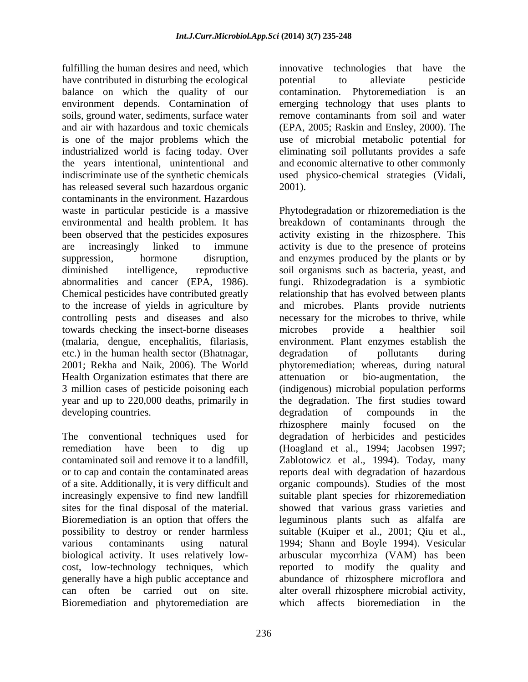fulfilling the human desires and need, which have contributed in disturbing the ecological bothermial to alleviate pesticide balance on which the quality of our contamination. Phytoremediation is an environment depends. Contamination of emerging technology that uses plants to soils, ground water, sediments, surface water remove contaminants from soil and water and air with hazardous and toxic chemicals (EPA, 2005; Raskin and Ensley, 2000). The is one of the major problems which the use of microbial metabolic potential for industrialized world is facing today. Over eliminating soil pollutants provides a safe the years intentional, unintentional and indiscriminate use of the synthetic chemicals used physico-chemical strategies (Vidali, has released several such hazardous organic 2001). contaminants in the environment. Hazardous environmental and health problem. It has been observed that the pesticides exposures towards checking the insect-borne diseases etc.) in the human health sector (Bhatnagar, Health Organization estimates that there are  $\qquad$  attenuation or bio-augmentation, the 3 million cases of pesticide poisoning each developing countries. degradation of compounds in the

cost, low-technology techniques, which reported to modify the quality and can often be carried out on site. Bioremediation and phytoremediation are which affects bioremediation in the

innovative technologies that have the potential to alleviate pesticide and economic alternative to other commonly 2001).

waste in particular pesticide is a massive Phytodegradation or rhizoremediation is the are increasingly linked to immune activity is due to the presence of proteins suppression, hormone disruption, and enzymes produced by the plants or by diminished intelligence, reproductive soil organisms such as bacteria, yeast, and abnormalities and cancer (EPA, 1986). fungi. Rhizodegradation is a symbiotic Chemical pesticides have contributed greatly relationship that has evolved between plants to the increase of yields in agriculture by and microbes. Plants provide nutrients controlling pests and diseases and also necessary for the microbes to thrive, while (malaria, dengue, encephalitis, filariasis, environment. Plant enzymes establish the 2001; Rekha and Naik, 2006). The World phytoremediation; whereas, during natural year and up to 220,000 deaths, primarily in the degradation. The first studies toward The conventional techniques used for degradation of herbicides and pesticides remediation have been to dig up (Hoagland et al., 1994; Jacobsen 1997; contaminated soil and remove it to a landfill, Zablotowicz et al., 1994). Today, many or to cap and contain the contaminated areas reports deal with degradation of hazardous of a site. Additionally, it is very difficult and organic compounds). Studies of the most increasingly expensive to find new landfill suitable plant species for rhizoremediation sites for the final disposal of the material. Showed that various grass varieties and Bioremediation is an option that offers the leguminous plants such as alfalfa are possibility to destroy or render harmless suitable (Kuiper et al., 2001; Qiu etal., various contaminants using natural 1994; Shann and Boyle 1994). Vesicular biological activity. It uses relatively low- arbuscular mycorrhiza (VAM) has been generally have a high public acceptance and abundance of rhizosphere microflora and breakdown of contaminants through the activity existing in the rhizosphere. This microbes provide a healthier soil degradation of pollutants during attenuation or bio-augmentation, the (indigenous) microbial population performs degradation of compounds in the rhizosphere mainly focused on the reported to modify the quality alter overall rhizosphere microbial activity, which affects bioremediation in the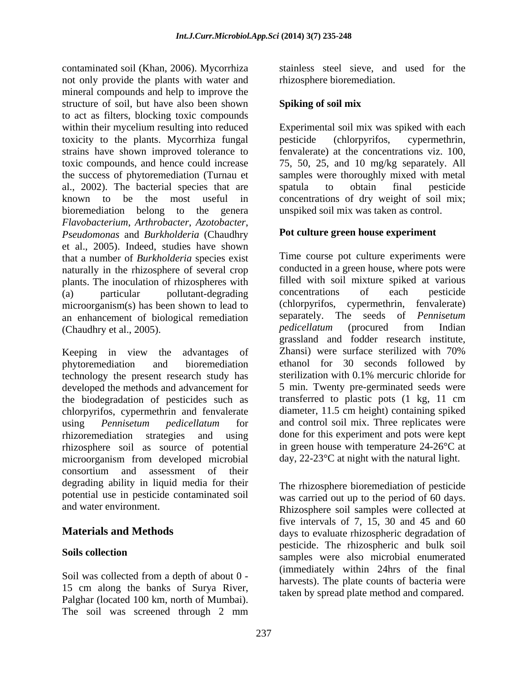contaminated soil (Khan, 2006). Mycorrhiza stainless steel sieve, and used for the not only provide the plants with water and mineral compounds and help to improve the structure of soil, but have also been shown Spiking of soil mix to act as filters, blocking toxic compounds toxicity to the plants. Mycorrhiza fungal strains have shown improved tolerance to the success of phytoremediation (Turnau et al., 2002). The bacterial species that are spatula to obtain final pesticide bioremediation belong to the genera *Flavobacterium*, *Arthrobacter*, *Azotobacter*, *Pseudomonas* and *Burkholderia* (Chaudhry et al., 2005). Indeed, studies have shown that a number of *Burkholderia* species exist naturally in the rhizosphere of several crop plants. The inoculation of rhizospheres with filled with soil mixture spiked at various<br>(a) particular pollutant-degrading concentrations of each pesticide (a) particular pollutant-degrading microorganism(s) has been shown to lead to an enhancement of biological remediation separately. The seeds of *Pennisetum*<br>(Chaudhry et al. 2005) *pedicellatum* (procured from Indian (Chaudhry et al., 2005).

phytoremediation and bioremediation ethanol for 30 seconds followed by technology the present research study has sterilization with 0.1% mercuric chloride for developed the methods and advancement for the biodegradation of pesticides such as chlorpyrifos, cypermethrin and fenvalerate using *Pennisetum pedicellatum* for rhizoremediation strategies and using done for this experiment and pots were kept rhizosphere soil as source of potential microorganism from developed microbial consortium and assessment of their degrading ability in liquid media for their potential use in pesticide contaminated soil

Soil was collected from a depth of about 0 - 15 cm along the banks of Surya River, Palghar (located 100 km, north of Mumbai). The soil was screened through 2 mm

rhizosphere bioremediation.

# **Spiking of soil mix**

within their mycelium resulting into reduced Experimental soil mix was spiked with each toxic compounds, and hence could increase 75, 50, 25, and 10 mg/kg separately. All known to be the most useful in concentrations of dry weight of soil mix; pesticide (chlorpyrifos, cypermethrin, fenvalerate) at the concentrations viz. 100, samples were thoroughly mixed with metal spatula to obtain final pesticide unspiked soil mix was taken as control.

# **Pot culture green house experiment**

Keeping in view the advantages of Zhansi) were surface sterilized with 70% Time course pot culture experiments were conducted in a green house, where pots were filled with soil mixture spiked at various concentrations of each pesticide (chlorpyrifos, cypermethrin, fenvalerate) separately. The seeds of *Pennisetum pedicellatum* (procured from Indian grassland and fodder research institute, Zhansi) were surface sterilized with 70% 5 min. Twenty pre-germinated seeds were transferred to plastic pots (1 kg, 11 cm diameter, 11.5 cm height) containing spiked and control soil mix. Three replicates were in green house with temperature 24-26°C at day, 22-23°C at night with the natural light.

and water environment. Rhizosphere soil samples were collected at **Materials and Methods days** to evaluate rhizospheric degradation of **Soils collection**  samples were also microbial enumerated The rhizosphere bioremediation of pesticide was carried out up to the period of 60 days. five intervals of 7, 15, 30 and 45 and  $60$ pesticide. The rhizospheric and bulk soil (immediately within 24hrs of the final harvests). The plate counts of bacteria were taken by spread plate method and compared.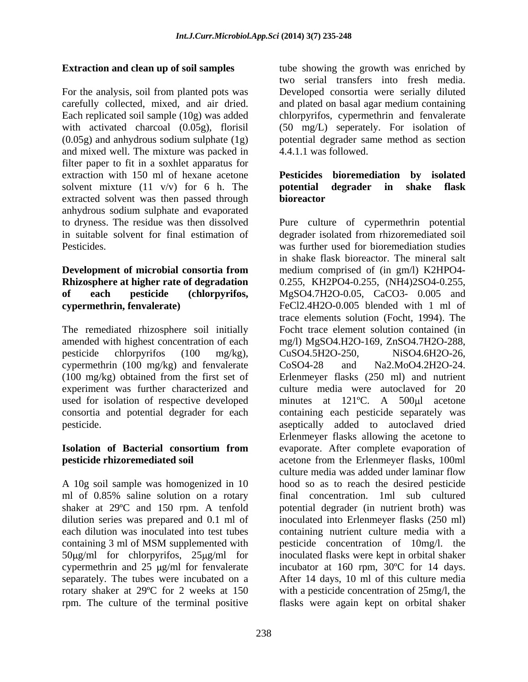For the analysis, soil from planted pots was Developed consortia were serially diluted carefully collected, mixed, and air dried. and plated on basal agar medium containing Each replicated soil sample (10g) was added chlorpyrifos, cypermethrin and fenvalerate with activated charcoal (0.05g), florisil (50 mg/L) seperately. For isolation of (0.05g) and anhydrous sodium sulphate (1g) and mixed well. The mixture was packed in filter paper to fit in a soxhlet apparatus for extraction with 150 ml of hexane acetone **Pesticides bioremediation by isolated** solvent mixture  $(11 \t v/v)$  for 6 h. The **potential degrader in shake flask** extracted solvent was then passed through **bioreactor** anhydrous sodium sulphate and evaporated to dryness. The residue was then dissolved Pure culture of cypermethrin potential

The remediated rhizosphere soil initially cypermethrin (100 mg/kg) and fenvalerate CoSO4-28 and Na2.MoO4.2H2O-24.

A 10g soil sample was homogenized in 10 rotary shaker at 29ºC for 2 weeks at 150 rpm. The culture of the terminal positive flasks were again kept on orbital shaker

**Extraction and clean up of soil samples** tube showing the growth was enriched by two serial transfers into fresh media. potential degrader same method as section 4.4.1.1 was followed.

# **potential degrader in shake flask bioreactor**

in suitable solvent for final estimation of degrader isolated from rhizoremediated soil Pesticides. was further used for bioremediation studies **Development of microbial consortia from Rhizosphere at higher rate of degradation**  0.255, KH2PO4-0.255, (NH4)2SO4-0.255, **of each pesticide (chlorpyrifos,** MgSO4.7H2O-0.05, CaCO3- 0.005 and **cypermethrin, fenvalerate)** FeCl2.4H2O-0.005 blended with 1 ml of amended with highest concentration of each mg/l) MgSO4.H2O-169, ZnSO4.7H2O-288, pesticide chlorpyrifos (100 mg/kg), CuSO4.5H2O-250, NiSO4.6H2O-26, (100 mg/kg) obtained from the first set of Erlenmeyer flasks (250 ml) and nutrient experiment was further characterized and culture media were autoclaved for 20 used for isolation of respective developed minutes at 121°C. A 500µl acetone consortia and potential degrader for each containing each pesticide separately was pesticide. aseptically added to autoclaved dried **Isolation of Bacterial consortium from** evaporate. After complete evaporation of **pesticide rhizoremediated soil** acetone from the Erlenmeyer flasks, 100ml ml of 0.85% saline solution on a rotary final concentration. 1ml sub cultured shaker at 29°C and 150 rpm. A tenfold potential degrader (in nutrient broth) was dilution series was prepared and 0.1 ml of inoculated into Erlenmeyer flasks (250 ml) each dilution was inoculated into test tubes containing nutrient culture media with a containing 3 ml of MSM supplemented with pesticide concentration of 10mg/l. the 50μg/ml for chlorpyrifos, 25μg/ml for inoculated flasks were kept in orbital shaker cypermethrin and 25  $\mu$ g/ml for fenvalerate incubator at 160 rpm, 30°C for 14 days. separately. The tubes were incubated on a After 14 days, 10 ml of this culture media in shake flask bioreactor. The mineral salt medium comprised of (in gm/l) K2HPO4 trace elements solution (Focht, 1994). The Focht trace element solution contained (in CuSO4.5H2O-250, NiSO4.6H2O-26, CoSO4-28 and Na2.MoO4.2H2O-24. Erlenmeyer flasks allowing the acetone to culture media was added under laminar flow hood so as to reach the desired pesticide pesticide concentration of 10mg/l. the with a pesticide concentration of 25mg/l, the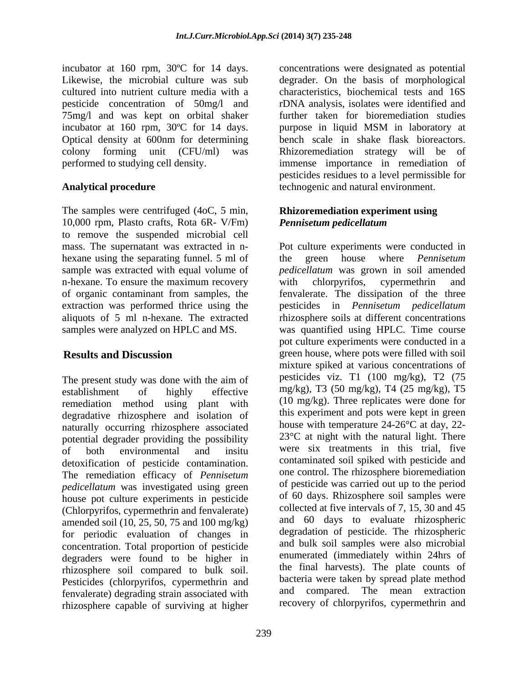incubator at 160 rpm, 30ºC for 14 days. 75mg/l and was kept on orbital shaker

The samples were centrifuged (4oC, 5 min, 10,000 rpm, Plasto crafts, Rota 6R- V/Fm) Pennisetum pedicellatum to remove the suspended microbial cell hexane using the separating funnel. 5 ml of the green house where *Pennisetum* n-hexane. To ensure the maximum recovery with chlorpyrifos, cypermethrin and

The present study was done with the aim of remediation method using plant with degradative rhizosphere and isolation of naturally occurring rhizosphere associated potential degrader providing the possibility detoxification of pesticide contamination. The remediation efficacy of *Pennisetum pedicellatum* was investigated using green house pot culture experiments in pesticide (Chlorpyrifos, cypermethrin and fenvalerate) amended soil (10, 25, 50, 75 and 100 mg/kg) for periodic evaluation of changes in concentration. Total proportion of pesticide degraders were found to be higher in rhizosphere soil compared to bulk soil. Pesticides (chlorpyrifos, cypermethrin and fenvalerate) degrading strain associated with rhizosphere capable of surviving at higher

Likewise, the microbial culture was sub degrader. On the basis of morphological cultured into nutrient culture media with a characteristics, biochemical tests and 16S pesticide concentration of 50mg/l and rDNA analysis, isolates were identified and incubator at 160 rpm, 30ºC for 14 days. purpose in liquid MSM in laboratory at Optical density at 600nm for determining bench scale in shake flask bioreactors. colony forming unit (CFU/ml) was Rhizoremediation strategy will be of performed to studying cell density. immense importance in remediation of Analytical procedure **Example 2018** technogenic and natural environment. concentrations were designated as potential further taken for bioremediation studies pesticides residues to a level permissible for

# **Rhizoremediation experiment using**  *Pennisetum pedicellatum*

mass. The supernatant was extracted in n- Pot culture experiments were conducted in sample was extracted with equal volume of *pedicellatum* was grown in soil amended of organic contaminant from samples, the fenvalerate. The dissipation of the three extraction was performed thrice using the pesticides in *Pennisetum pedicellatum* aliquots of 5 ml n-hexane. The extracted rhizosphere soils at different concentrations samples were analyzed on HPLC and MS. was quantified using HPLC. Time course **Results and Discussion** green house, where pots were filled with soil establishment of highly effective  $mg/kg$ ), 13 (50 mg/kg), 14 (25 mg/kg), 15 of both environmental and insitu were six treatments in this trial, five the green house where *Pennisetum*  with chlorpyrifos, cypermethrin and pot culture experiments were conducted in a mixture spiked at various concentrations of pesticides viz. T1 (100 mg/kg), T2 (75 mg/kg), T3 (50 mg/kg), T4 (25 mg/kg), T5 (10 mg/kg). Three replicates were done for this experiment and pots were kept in green house with temperature 24-26°C at day, 22- 23°C at night with the natural light. There were six treatments in this trial, five contaminated soil spiked with pesticide and one control. The rhizosphere bioremediation of pesticide was carried out up to the period of 60 days. Rhizosphere soil samples were collected at five intervals of 7, 15, 30 and 45 and 60 days to evaluate rhizospheric degradation of pesticide. The rhizospheric and bulk soil samples were also microbial enumerated (immediately within 24hrs of the final harvests). The plate counts of bacteria were taken by spread plate method and compared. The mean extraction recovery of chlorpyrifos, cypermethrin and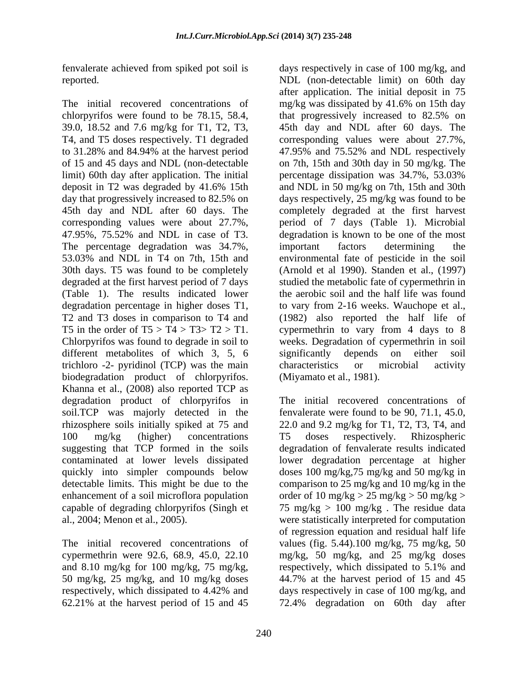fenvalerate achieved from spiked pot soil is

chlorpyrifos were found to be 78.15, 58.4, that progressively increased to 82.5% on The percentage degradation was 34.7%, important factors determining the (Table 1). The results indicated lower different metabolites of which 3, 5, 6 significantly depends on either soil trichloro -2- pyridinol (TCP) was the main characteristics or microbial activity biodegradation product of chlorpyrifos. Khanna et al., (2008) also reported TCP as degradation product of chlorpyrifos in soil.TCP was majorly detected in the fenvalerate were found to be 90, 71.1, 45.0, rhizosphere soils initially spiked at 75 and 22.0 and 9.2 mg/kg for T1, T2, T3, T4, and 100 mg/kg (higher) concentrations suggesting that TCP formed in the soils contaminated at lower levels dissipated lower degradation percentage at higher quickly into simpler compounds below doses 100 mg/kg,75 mg/kg and 50 mg/kg in detectable limits. This might be due to the comparison to 25 mg/kg and 10 mg/kg in the enhancement of a soil microflora population order of 10 mg/kg > 25 mg/kg > 50 mg/kg > capable of degrading chlorpyrifos (Singh et 75 mg/kg > 100 mg/kg . The residue data

62.21% at the harvest period of 15 and 45

reported. NDL (non-detectable limit) on 60th day The initial recovered concentrations of mg/kg was dissipated by 41.6% on 15th day 39.0, 18.52 and 7.6 mg/kg for T1, T2, T3, 45th day and NDL after 60 days. The T4, and T5 doses respectively. T1 degraded corresponding values were about 27.7%, to 31.28% and 84.94% at the harvest period 47.95% and 75.52% and NDL respectively of 15 and 45 days and NDL (non-detectable on 7th, 15th and 30th day in 50 mg/kg. The limit) 60th day after application. The initial percentage dissipation was 34.7%, 53.03% deposit in T2 was degraded by 41.6% 15th and NDL in 50 mg/kg on 7th, 15th and 30th day that progressively increased to 82.5% on days respectively, 25 mg/kg was found to be 45th day and NDL after 60 days. The completely degraded at the first harvest corresponding values were about 27.7%, period of 7 days (Table 1). Microbial 47.95%, 75.52% and NDL in case of T3. degradation is known to be one of the most 53.03% and NDL in T4 on 7th, 15th and environmental fate of pesticide in the soil 30th days. T5 was found to be completely (Arnold et al 1990). Standen et al., (1997) degraded at the first harvest period of 7 days studied the metabolic fate of cypermethrin in degradation percentage in higher doses T1, to vary from 2-16 weeks. Wauchope et al., T2 and T3 doses in comparison to T4 and (1982) also reported the half life of T5 in the order of  $T5 > T4 > T3 > T2 > T1$ . cypermethrin to vary from 4 days to 8 Chlorpyrifos was found to degrade in soil to weeks. Degradation of cypermethrin in soil days respectively in case of 100 mg/kg, and after application. The initial deposit in 75 that progressively increased to 82.5% on important factors determining the the aerobic soil and the half life was found significantly depends on either soil characteristics or microbial activity (Miyamato et al., 1981).

al., 2004; Menon et al., 2005). were statistically interpreted for computation The initial recovered concentrations of values (fig. 5.44).100 mg/kg, 75 mg/kg, 50 cypermethrin were 92.6, 68.9, 45.0, 22.10 mg/kg, 50 mg/kg, and 25 mg/kg doses and 8.10 mg/kg for 100 mg/kg, 75 mg/kg, respectively, which dissipated to 5.1% and 50 mg/kg, 25 mg/kg, and 10 mg/kg doses 44.7% at the harvest period of 15 and 45 respectively, which dissipated to 4.42% and days respectively in case of 100 mg/kg, and The initial recovered concentrations of T5 doses respectively. Rhizospheric degradation of fenvalerate results indicated of regression equation and residual half life days respectively in case of 100 mg/kg, and 72.4% degradation on 60th day after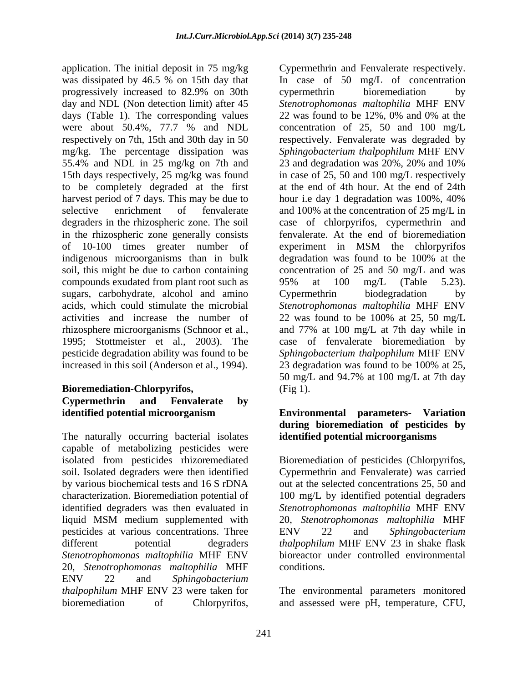application. The initial deposit in 75 mg/kg Cypermethrin and Fenvalerate respectively. was dissipated by 46.5 % on 15th day that In case of 50 mg/L of concentration days (Table 1). The corresponding values 22 was found to be 12%, 0% and 0% at the 55.4% and NDL in 25 mg/kg on 7th and 23 and degradation was 20%, 20% and 10% 15th days respectively, 25 mg/kg was found to be completely degraded at the first in the rhizospheric zone generally consists of 10-100 times greater number of indigenous microorganisms than in bulk degradation was found to be 100% at the compounds exudated from plant root such as  $95\%$  at 100 mg/L (Table 5.23). sugars, carbohydrate, alcohol and amino Cypermethrin biodegradation by

# **Bioremediation-Chlorpyrifos, Cypermethrin and Fenvalerate by**

The naturally occurring bacterial isolates capable of metabolizing pesticides were isolated from pesticides rhizoremediated Bioremediation of pesticides (Chlorpyrifos, soil. Isolated degraders were then identified Cypermethrin and Fenvalerate) was carried by various biochemical tests and 16 S rDNA out at the selected concentrations 25, 50 and characterization. Bioremediation potential of 100 mg/L by identified potential degraders identified degraders was then evaluated in *Stenotrophomonas maltophilia* MHF ENV liquid MSM medium supplemented with 20, *Stenotrophomonas maltophilia* MHF pesticides at various concentrations. Three ENV 22 and Sphingobacterium different potential degraders *thalpophilum* MHF ENV 23 in shake flask *Stenotrophomonas maltophilia* MHF ENV 20, *Stenotrophomonas maltophilia* MHF ENV 22 and *Sphingobacterium thalpophilum* MHF ENV 23 were taken for The environmental parameters monitored

progressively increased to 82.9% on 30th day and NDL (Non detection limit) after 45 *Stenotrophomonas maltophilia* MHF ENV were about 50.4%, 77.7 % and NDL concentration of 25, 50 and 100 mg/L respectively on 7th, 15th and 30th day in 50 respectively. Fenvalerate was degraded by mg/kg. The percentage dissipation was *Sphingobacterium thalpophilum* MHF ENV harvest period of 7 days. This may be due to hour i.e day 1 degradation was 100%, 40% selective enrichment of fenvalerate and 100% at the concentration of 25 mg/L in degraders in the rhizospheric zone. The soil case of chlorpyrifos, cypermethrin and soil, this might be due to carbon containing concentration of 25 and 50 mg/L and was acids, which could stimulate the microbial *Stenotrophomonas maltophilia* MHF ENV activities and increase the number of 22 was found to be 100% at 25, 50 mg/L rhizosphere microorganisms (Schnoor et al., and 77% at 100 mg/L at 7th day while in 1995; Stottmeister et al., 2003). The case of fenvalerate bioremediation by pesticide degradation ability was found to be *Sphingobacterium thalpophilum* MHF ENV increased in this soil (Anderson et al., 1994). 23 degradation was found to be 100% at 25, application. The initial deposits of Cypermethrin and Fenvalerate espectively. In the concentration of Cherometrical by the system of Chinam Cherometrical by the system of Chinam Cherometrical by the system of Chinam Chero cypermethrin bioremediation by 22 was found to be 12%, 0% and 0% at the 23 and degradation was 20%, 20% and 10% in case of 25, 50 and 100 mg/L respectively at the end of 4th hour. At the end of 24th fenvalerate. At the end of bioremediation experiment in MSM the chlorpyrifos degradation was found to be 100% at the 95% at 100 mg/L (Table 5.23). Cypermethrin biodegradation by 50 mg/L and 94.7% at 100 mg/L at 7th day (Fig 1).

# **identified potential microorganism Environmental parameters- Variation during bioremediation of pesticides by identified potential microorganisms**

ENV 22 and *Sphingobacterium*  bioreactor under controlled environmental conditions.

and assessed were pH, temperature, CFU,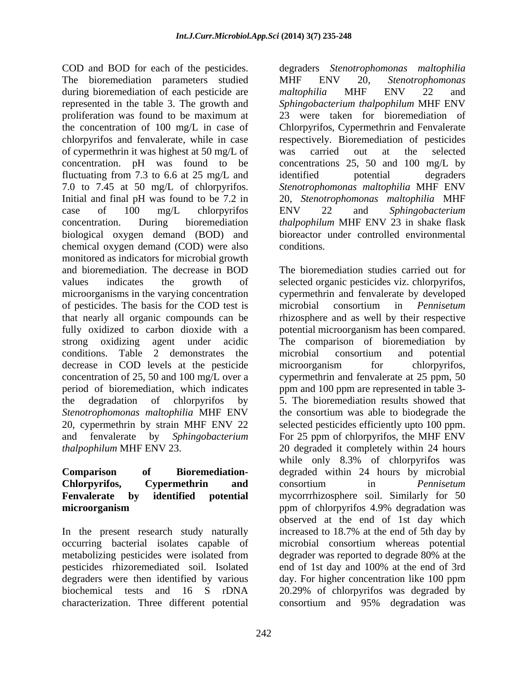COD and BOD for each of the pesticides. degraders *Stenotrophomonas maltophilia* The bioremediation parameters studied MHF ENV 20, Stenotrophomonas during bioremediation of each pesticide are maltophilia MHF ENV 22 and represented in the table 3. The growth and *Sphingobacterium thalpophilum* MHF ENV proliferation was found to be maximum at the concentration of 100 mg/L in case of Chlorpyrifos, Cypermethrin and Fenvalerate chlorpyrifos and fenvalerate, while in case respectively. Bioremediation of pesticides of cypermethrin it was highest at 50 mg/L of concentration. pH was found to be fluctuating from 7.3 to 6.6 at 25 mg/L and identified potential degraders 7.0 to 7.45 at 50 mg/L of chlorpyrifos. *Stenotrophomonas maltophilia* MHF ENV Initial and final pH was found to be 7.2 in 20, *Stenotrophomonas maltophilia* MHF case of 100 mg/L chlorpyrifos ENV 22 and Sphingobacterium concentration. During bioremediation *thalpophilum* MHF ENV 23 in shake flask biological oxygen demand (BOD) and chemical oxygen demand (COD) were also conditions. monitored as indicators for microbial growth of pesticides. The basis for the COD test is microbial consortium in *Pennisetum* conditions. Table 2 demonstrates the microbial consortium and potential decrease in COD levels at the pesticide microorganism for chlorpyrifos, concentration of 25, 50 and 100 mg/L over a

# **microorganism microorganism numerical contract to the properties** ppm of chlorovrifies 4.9% degradation was

In the present research study naturally increased to 18.7% at the end of 5th day by metabolizing pesticides were isolated from degrader was reported to degrade 80% at the degraders were then identified by various day. For higher concentration like 100 ppm characterization. Three different potential

MHF ENV 20, *Stenotrophomonas maltophilia* MHF ENV 22 and 23 were taken for bioremediation of was carried out at the selected concentrations 25, 50 and 100 mg/L by identified potential degraders ENV 22 and *Sphingobacterium*  bioreactor under controlled environmental conditions.

and bioremediation. The decrease in BOD The bioremediation studies carried out for values indicates the growth of selected organic pesticides viz. chlorpyrifos, microorganisms in the varying concentration cypermethrin and fenvalerate by developed that nearly all organic compounds can be rhizosphere and as well by their respective fully oxidized to carbon dioxide with a potential microorganism has been compared. strong oxidizing agent under acidic The comparison of bioremediation by period of bioremediation, which indicates ppm and 100 ppm are represented in table 3 the degradation of chlorpyrifos by 5. The bioremediation results showed that *Stenotrophomonas maltophilia* MHF ENV the consortium was able to biodegrade the 20, cypermethrin by strain MHF ENV 22 selected pesticides efficiently upto 100 ppm. and fenvalerate by *Sphingobacterium*  For 25 ppm of chlorpyrifos, the MHF ENV *thalpophilum* MHF ENV 23. 20 degraded it completely within 24 hours **Comparison of Bioremediation-** degraded within 24 hours by microbial **Chlorpyrifos, Cypermethrin and Fenvalerate by identified potential** mycorrrhizosphere soil. Similarly for 50 occurring bacterial isolates capable of microbial consortium whereas potential pesticides rhizoremediated soil. Isolated end of 1st day and 100% at the end of 3rd biochemical tests and 16 S rDNA 20.29% of chlorpyrifos was degraded by microbial consortium in *Pennisetum*  microbial consortium and potential microorganism for chlorpyrifos, cypermethrin and fenvalerate at 25 ppm, 50 while only 8.3% of chlorpyrifos was consortium in *Pennisetum*  ppm of chlorpyrifos 4.9% degradation was observed at the end of 1st day which increased to 18.7% at the end of 5th day by degrader was reported to degrade 80% at the day. For higher concentration like 100 ppm consortium and 95% degradation was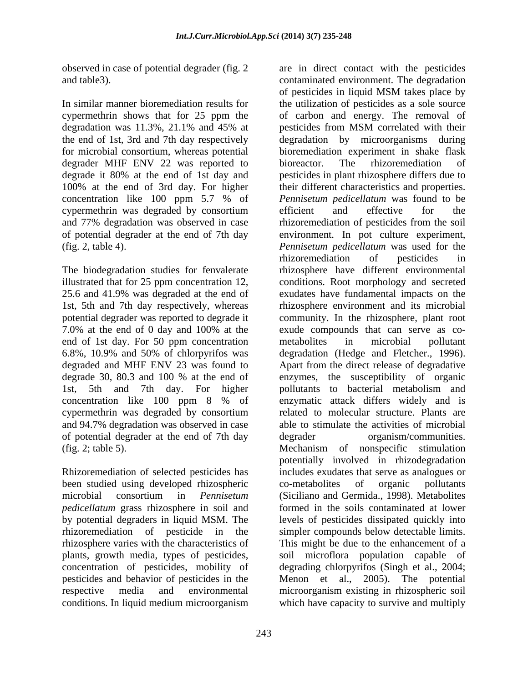observed in case of potential degrader (fig. 2

degrader MHF ENV 22 was reported to bioreactor. The rhizoremediation of degrade it 80% at the end of 1st day and concentration like 100 ppm 5.7 % of cypermethrin was degraded by consortium

The biodegradation studies for fenvalerate 7.0% at the end of 0 day and 100% at the end of 1st day. For 50 ppm concentration metabolities in microbial pollutant 6.8%, 10.9% and 50% of chlorpyrifos was degraded and MHF ENV 23 was found to and 94.7% degradation was observed in case of potential degrader at the end of 7th day

Rhizoremediation of selected pesticides has been studied using developed rhizospheric *pedicellatum* grass rhizosphere in soil and rhizosphere varies with the characteristics of conditions. In liquid medium microorganism

and table3). contaminated environment. The degradation In similar manner bioremediation results for the utilization of pesticides as a sole source cypermethrin shows that for 25 ppm the of carbon and energy. The removal of degradation was 11.3%, 21.1% and 45% at the end of 1st, 3rd and 7th day respectively degradation by microorganisms during for microbial consortium, whereas potential bioremediation experiment in shake flask 100% at the end of 3rd day. For higher their different characteristics and properties. and 77% degradation was observed in case rhizoremediation of pesticides from the soil of potential degrader at the end of 7th day environment. In pot culture experiment, (fig. 2, table 4). *Pennisetum pedicellatum* was used for the illustrated that for 25 ppm concentration 12, conditions. Root morphology and secreted 25.6 and 41.9% was degraded at the end of exudates have fundamental impacts on the 1st, 5th and 7th day respectively, whereas rhizosphere environment and its microbial potential degrader was reported to degrade it community. In the rhizosphere, plant root degrade 30, 80.3 and 100 % at the end of enzymes, the susceptibility of organic 1st, 5th and 7th day. For higher pollutants to bacterial metabolism and concentration like 100 ppm 8 % of enzymatic attack differs widely and is cypermethrin was degraded by consortium related to molecular structure. Plants are (fig. 2; table 5). Mechanism of nonspecific stimulation microbial consortium in *Pennisetum*  (Siciliano and Germida., 1998). Metabolites by potential degraders in liquid MSM. The levels of pesticides dissipated quickly into rhizoremediation of pesticide in the simpler compounds below detectable limits. plants, growth media, types of pesticides, soil microflora population capable of concentration of pesticides, mobility of degrading chlorpyrifos (Singh et al., 2004; pesticides and behavior of pesticides in the Menon et al., 2005). The potential respective media and environmental microorganism existing in rhizospheric soil of pesticides in liquid MSM takes place by pesticides from MSM correlated with their bioreactor. The rhizoremediation of pesticides in plant rhizosphere differs due to *Pennisetum pedicellatum* was found to be efficient and effective for the rhizoremediation of pesticides in rhizosphere have different environmental exude compounds that can serve as co-metabolites in microbial pollutant degradation (Hedge and Fletcher., 1996). Apart from the direct release of degradative able to stimulate the activities of microbial organism/communities. potentially involved in rhizodegradation includes exudates that serve as analogues or co-metabolites of organic pollutants formed in the soils contaminated at lower This might be due to the enhancement of a which have capacity to survive and multiply

are in direct contact with the pesticides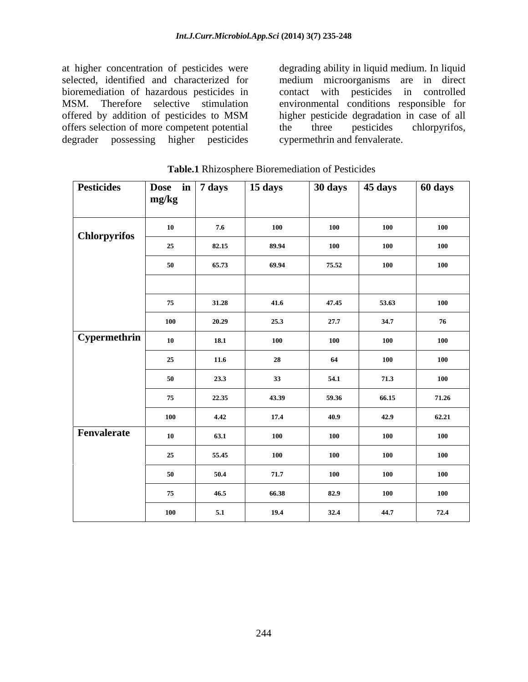at higher concentration of pesticides were degrading ability in liquid medium. In liquid selected, identified and characterized for medium microorganisms are in direct bioremediation of hazardous pesticides in contact with pesticides in controlled MSM. Therefore selective stimulation environmental conditions responsible for offered by addition of pesticides to MSM higher pesticide degradation in case of all offers selection of more competent potential the three pesticides chlorpyrifos, degrader possessing higher pesticides

the three pesticides chlorpyrifos, cypermethrin and fenvalerate.

| <b>Pesticides</b>   | Dose in 7 days<br>mg/kg |       | 15 days |            | $\sqrt{30 \text{ days}}$ $\sqrt{45 \text{ days}}$ | 60 days |
|---------------------|-------------------------|-------|---------|------------|---------------------------------------------------|---------|
| <b>Chlorpyrifos</b> | <b>10</b>               | 7.6   | 100     | <b>100</b> | 100                                               | 100     |
|                     | 25                      | 82.15 | 89.94   | <b>100</b> | 100                                               | 100     |
|                     | 50                      | 65.73 | 69.94   | 75.52      | 100                                               | 100     |
|                     |                         |       |         |            |                                                   |         |
|                     | 75                      | 31.28 | 41.6    | 47.45      | 53.63                                             | 100     |
|                     | 100                     | 20.29 | 25.3    | 27.7       | 34.7                                              | 76      |
| Cypermethrin        | <b>10</b>               | 18.1  | 100     | <b>100</b> | 100                                               | 100     |
|                     | 25                      | 11.6  | 28      | 64         | 100                                               | 100     |
|                     | 50                      | 23.3  | 33      | 54.1       | 71.3                                              | 100     |
|                     | 75                      | 22.35 | 43.39   | 59.36      | 66.15                                             | 71.26   |
|                     | 100                     | 4.42  | 17.4    | 40.9       | 42.9                                              | 62.21   |
| Fenvalerate         | <b>10</b>               | 63.1  | 100     | <b>100</b> | 100                                               | 100     |
|                     | 25                      | 55.45 | 100     | <b>100</b> | 100                                               | 100     |
|                     | 50                      | 50.4  | 71.7    | <b>100</b> | 100                                               | 100     |
|                     | 75                      | 46.5  | 66.38   | 82.9       | 100                                               | 100     |
|                     | 100                     | 5.1   | 19.4    | 32.4       | 44.7                                              | 72.4    |

**Table.1** Rhizosphere Bioremediation of Pesticides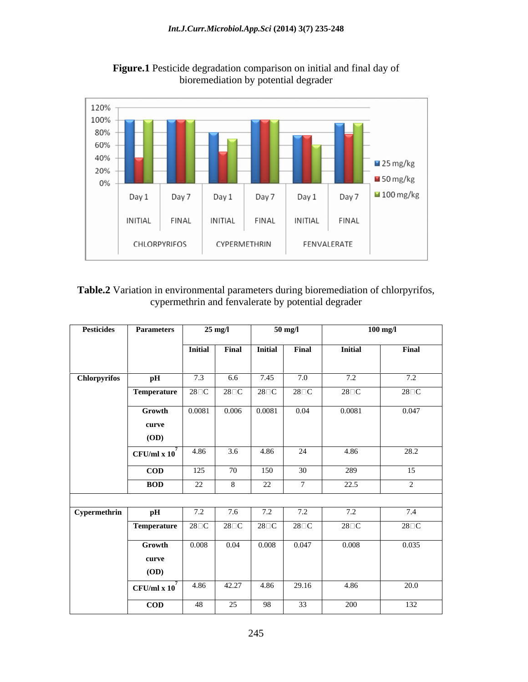

**Figure.1** Pesticide degradation comparison on initial and final day of bioremediation by potential degrader

**Table.2** Variation in environmental parameters during bioremediation of chlorpyrifos, cypermethrin and fenvalerate by potential degrader

|                     | pH<br>Temperature 28 <sup>DC</sup> 28 <sup>DC</sup> 28 <sup>D</sup> C<br>Growth<br>curve<br><b>(OD)</b><br>$CFU/ml \times 10'$ | 7.3<br>0.0081 | 6.6        | Initial Final Initial Final<br>7.45<br>$0.006$ $0.0081$ | 7.0<br>$28\square C$<br>0.04 | <b>Initial</b><br>7.2<br>$28\square$ C<br>0.0081 | Final<br>7.2<br>$28\square$ C<br>0.047 |
|---------------------|--------------------------------------------------------------------------------------------------------------------------------|---------------|------------|---------------------------------------------------------|------------------------------|--------------------------------------------------|----------------------------------------|
| <b>Chlorpyrifos</b> |                                                                                                                                |               |            |                                                         |                              |                                                  |                                        |
|                     |                                                                                                                                |               |            |                                                         |                              |                                                  |                                        |
|                     |                                                                                                                                |               |            |                                                         |                              |                                                  |                                        |
|                     |                                                                                                                                |               |            |                                                         |                              |                                                  |                                        |
|                     |                                                                                                                                |               |            |                                                         |                              |                                                  |                                        |
|                     |                                                                                                                                |               |            |                                                         |                              |                                                  |                                        |
|                     |                                                                                                                                |               |            |                                                         |                              |                                                  |                                        |
|                     |                                                                                                                                | 4.86          | 3.6        | 4.86                                                    | 24                           | 4.86                                             | 28.2                                   |
|                     |                                                                                                                                |               |            |                                                         |                              |                                                  |                                        |
|                     | $\mathbf{COD}$                                                                                                                 | 125           | 70         | 150                                                     | 30                           | 289                                              | 15                                     |
|                     | <b>BOD</b>                                                                                                                     | 22            |            | າາ<br>∠∠                                                |                              | 22.5                                             |                                        |
|                     |                                                                                                                                |               |            |                                                         |                              |                                                  |                                        |
| Cypermethrin        | рH                                                                                                                             | 7.2           | 7.6        | 7.2                                                     | 7.2                          | 7.2                                              | 7.4                                    |
|                     | <b>Temperature</b>   28 $\Box$ C   28 $\Box$ C   28 $\Box$ C                                                                   |               |            |                                                         | $28\square C$                | $28\square$ C                                    | $28\Box C$                             |
|                     | Growth                                                                                                                         | 0.008         |            | $0.04$ 0.008 0.047                                      |                              | 0.008                                            | 0.035                                  |
|                     | curve                                                                                                                          |               |            |                                                         |                              |                                                  |                                        |
|                     | <b>(OD)</b>                                                                                                                    |               |            |                                                         |                              |                                                  |                                        |
|                     | $\left  \text{ CFU/ml x } 10^{7} \right $ 4.86                                                                                 |               | 42.27 4.86 |                                                         | 29.16                        | 4.86                                             | 20.0                                   |
|                     | $\bf{COD}$                                                                                                                     | - 48          | 25         | -98                                                     | 33                           | 200                                              | 132                                    |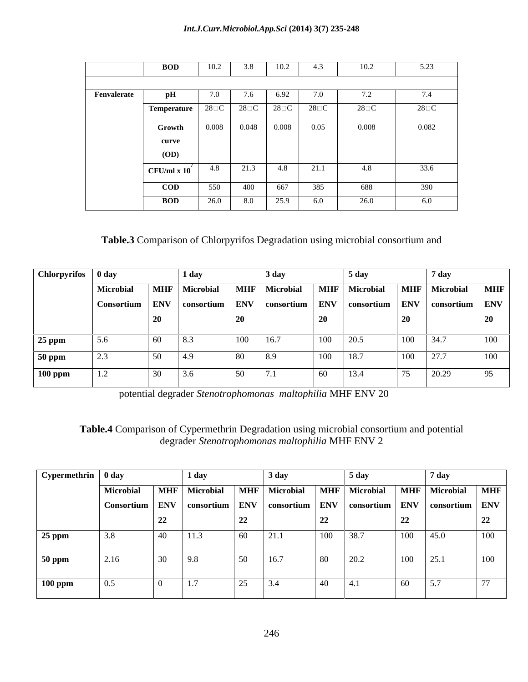|             | <b>BOD</b>          | 10.2          | 3.8           | 10 <sub>2</sub><br>1 V., | د.4           | 10.4        | $\epsilon$ 00<br>5.25 |
|-------------|---------------------|---------------|---------------|--------------------------|---------------|-------------|-----------------------|
|             |                     |               |               |                          |               |             |                       |
| Fenvalerate |                     | 7.0           | 1.0           | 6.92                     | 7.0           |             |                       |
|             | <b>Temperature</b>  | $28\square$ C | $28\square$ C | $28\square C$            | $28\square C$ | $28\square$ | $28\square C$         |
|             | Growth              | 0.008         | 0.048         | 0.008                    | 0.05          | 0.008       | 0.082                 |
|             | curve               |               |               |                          |               |             |                       |
|             | <b>(OD)</b>         |               |               |                          |               |             |                       |
|             | $CFU/ml \times 10'$ | 4.8           | 21.3          | 4.8                      | 21.1          | 4.8         | 33.6                  |
|             | <b>COD</b>          | 550           | 400           | 667                      | 385           | 688         | 390                   |
|             | <b>BOD</b>          | 26.0          | 8.0           | 250<br>ر،رے              | 6.0           | 26.0        | 6.0                   |

# **Table.3** Comparison of Chlorpyrifos Degradation using microbial consortium and

|               | $\vert$ Chlorpyrifos $\vert$ 0 day                                                           |    | l day                                     |     | $3 \text{ day}$   |     | 5 dav  |                          | / dav                               |            |
|---------------|----------------------------------------------------------------------------------------------|----|-------------------------------------------|-----|-------------------|-----|--------|--------------------------|-------------------------------------|------------|
|               | Microbial                                                                                    |    | MHF Microbial MHF Microbial MHF Microbial |     |                   |     |        |                          | MHF Microbial                       | <b>MHF</b> |
|               | Consortium   ENV   consortium   ENV   consortium   ENV   consortium   ENV   consortium   ENV |    |                                           |     |                   |     |        |                          |                                     |            |
|               |                                                                                              |    |                                           |     |                   |     |        |                          |                                     | 20 V       |
|               | 5.6                                                                                          | 60 | 8.3                                       | 100 | 16.7              | 100 | $20.5$ |                          | $100 \quad 34.7$                    | 100        |
| 25 ppm        |                                                                                              |    |                                           |     |                   |     |        |                          |                                     |            |
| <b>50 ppm</b> |                                                                                              | 50 | 4.9                                       | 80  | $\vert 8.9 \vert$ | 100 | 18.7   | 100                      | $\begin{array}{c} 27.7 \end{array}$ | 100        |
| $100$ ppm     | -1.2                                                                                         | 30 | 3.6                                       | 50  | 7.1               | 60  | 13.4   | $\overline{\phantom{a}}$ | 20.29                               |            |

potential degrader *Stenotrophomonas maltophilia* MHF ENV 20

# **Table.4** Comparison of Cypermethrin Degradation using microbial consortium and potential degrader *Stenotrophomonas maltophilia* MHF ENV 2

| $\boxed{\text{Cypermethrin} \mid 0 \text{ day}}$ |                                                                                              |                            | $\pm 1$ dav                                                                 |    | 3 day |                |      |               |                   |          |
|--------------------------------------------------|----------------------------------------------------------------------------------------------|----------------------------|-----------------------------------------------------------------------------|----|-------|----------------|------|---------------|-------------------|----------|
|                                                  | Microbial                                                                                    |                            | MHF   Microbial   MHF   Microbial   MHF   Microbial   MHF   Microbial   MHF |    |       |                |      |               |                   |          |
|                                                  | Consortium   ENV   consortium   ENV   consortium   ENV   consortium   ENV   consortium   ENV |                            |                                                                             |    |       |                |      |               |                   |          |
|                                                  |                                                                                              |                            |                                                                             | 22 |       | $\overline{a}$ |      | 22            |                   | -44      |
| $25$ ppm                                         | 3.8                                                                                          | $\Lambda$ $\Omega$<br>- 40 | 11.3                                                                        | 60 | 21.1  | 100            | 38.7 | $100 \t 45.0$ |                   | 100      |
|                                                  |                                                                                              |                            |                                                                             |    |       |                |      |               |                   |          |
| <b>50 ppm</b>                                    | 2.16                                                                                         | 30                         | 19.8                                                                        | 50 | 16.7  | 80             | 20.2 | 100           | 25.1              | 100      |
|                                                  |                                                                                              |                            |                                                                             |    |       |                |      |               |                   |          |
| $100$ ppm                                        |                                                                                              |                            | $\vert 1.7 \vert$                                                           | 25 | 3.4   | 40             | 4.1  | 60            | $\vert 5.7 \vert$ | $\prime$ |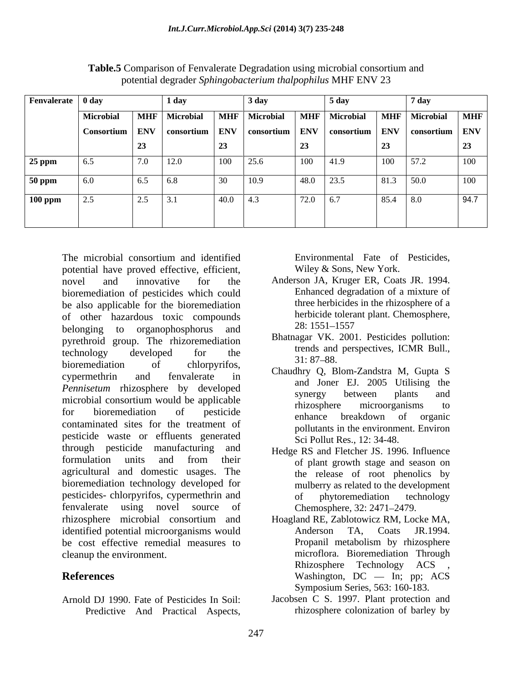| Fenvalerate 0 day |                                                                                              |     | 1 dav |              | 3 dav |          | 5 day |           | 7 day         |            |
|-------------------|----------------------------------------------------------------------------------------------|-----|-------|--------------|-------|----------|-------|-----------|---------------|------------|
|                   | Microbial   MHF   Microbial   MHF   Microbial   MHF   Microbial                              |     |       |              |       |          |       |           | MHF Microbial | <b>MHF</b> |
|                   | Consortium   ENV   consortium   ENV   consortium   ENV   consortium   ENV   consortium   ENV |     |       |              |       |          |       |           |               |            |
|                   |                                                                                              | 23  |       |              |       | 23       |       | $\Delta$  |               | $\Delta$   |
| <b>25 ppm</b>     |                                                                                              | 7.0 | 12.0  | 100          | 25.6  | 100      | 41.9  | 100       | 57.2          | 100        |
| <b>50 ppm</b>     |                                                                                              | 6.5 | 6.8   | 30           | 10.9  | 48.0     | 23.5  | 81.3 50.0 |               | 100        |
| <b>100 ppm</b>    |                                                                                              | 2.5 | 3.1   | $ 40.0 $ 4.3 |       | 72.0 6.7 |       | 85.4 8.0  |               | 94.7       |
|                   |                                                                                              |     |       |              |       |          |       |           |               |            |
|                   |                                                                                              |     |       |              |       |          |       |           |               |            |

**Table.5** Comparison of Fenvalerate Degradation using microbial consortium and potential degrader *Sphingobacterium thalpophilus* MHF ENV 23

The microbial consortium and identified potential have proved effective, efficient, novel and innovative for the Anderson JA, Kruger ER, Coats JR. 1994. bioremediation of pesticides which could be also applicable for the bioremediation of other hazardous toxic compounds herbicide tolera<br>helonging to croppophosphorus and 28:1551–1557 belonging to organophosphorus and  $\frac{28:1551-1557}{1000}$ pyrethroid group. The rhizoremediation technology developed for the  $\frac{1}{24.27 \times 10^{-10}}$  developed to the  $\frac{1}{24.27 \times 10^{-10}}$  technology bioremediation of chlorpyrifos,  $\alpha_1$ ,  $\beta_2$ ,  $\beta_3$ ,  $\beta_4$ ,  $\beta_5$ ,  $\beta_6$ ,  $\beta_7$ ,  $\beta_8$ ,  $\beta_7$ ,  $\beta_8$ ,  $\beta_8$ cypermethrin and fenvalerate in  $C_{\text{1}}$   $C_{\text{2}}$   $C_{\text{2}}$   $C_{\text{3}}$   $C_{\text{3}}$   $C_{\text{3}}$   $C_{\text{4}}$   $C_{\text{5}}$   $C_{\text{6}}$   $C_{\text{7}}$   $C_{\text{8}}$   $C_{\text{9}}$   $C_{\text{1}}$   $C_{\text{1}}$   $C_{\text{1}}$   $C_{\text{1}}$   $C_{\text{1}}$   $C_{\text{1}}$   $C_{\text{1}}$ *Pennisetum* rhizosphere by developed and solid E. 2005 Utilising the microbial consortium would be applicable<br>thizosphere microorganisms to for bioremediation of pesticide antence heald by the crossic Fraction of the treatment of the enhance breakdown of organic<br>contaminated sites for the treatment of a collision is the environment Environment pesticide waste or effluents generated through pesticide manufacturing and formulation units and from their the of plant growth stage and season on agricultural and domestic usages. The bioremediation technology developed for pesticides- chlorpyrifos, cypermethrin and of phytoremediation technology fenvalerate using novel source of rhizosphere microbial consortium and Hoagland RE, Zablotowicz RM, Locke MA, identified potential microorganisms would<br>Anderson TA, Coats JR.1994. be cost effective remedial measures to Propanil metabolism by rhizosphere cleanup the environment. microflora. Bioremediation Through

Predictive And Practical Aspects,

Environmental Fate of Pesticides, Wiley & Sons, New York.

- Enhanced degradation of a mixture of three herbicides in the rhizosphere of a herbicide tolerant plant. Chemosphere, 28: 1551 1557
- Bhatnagar VK. 2001. Pesticides pollution: trends and perspectives, ICMR Bull.,  $31: 87 - 88.$
- Chaudhry Q, Blom-Zandstra M, Gupta S and Joner EJ. 2005 Utilising the synergy between plants and rhizosphere microorganisms to enhance breakdown of organic pollutants in the environment. Environ Sci Pollut Res., 12: 34-48.
- Hedge RS and Fletcher JS. 1996. Influence of plant growth stage and season on the release of root phenolics by mulberry as related to the development of phytoremediation technology Chemosphere, 32: 2471–2479.
- **References** Washington, DC In; pp; ACS Anderson TA, Coats JR.1994. Propanil metabolism by rhizosphere Rhizosphere Technology ACS , Symposium Series, 563: 160-183.
- Arnold DJ 1990. Fate of Pesticides In Soil: Jacobsen C S. 1997. Plant protection and rhizosphere colonization of barley by